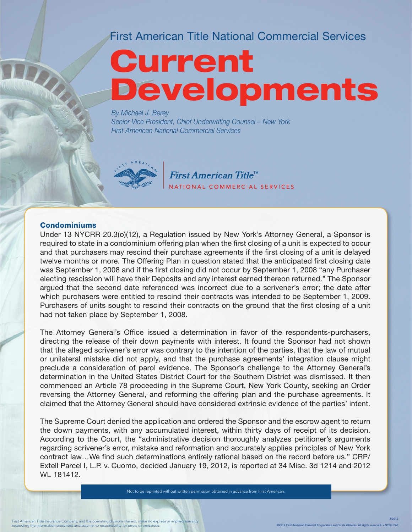### First American Title National Commercial Services

# Current Developments

*By Michael J. Berey Senior Vice President, Chief Underwriting Counsel – New York First American National Commercial Services*



First American Title<sup>™</sup> NATIONAL COMMERCIAL SERVICES

#### **Condominiums**

Under 13 NYCRR 20.3(o)(12), a Regulation issued by New York's Attorney General, a Sponsor is required to state in a condominium offering plan when the first closing of a unit is expected to occur and that purchasers may rescind their purchase agreements if the first closing of a unit is delayed twelve months or more. The Offering Plan in question stated that the anticipated first closing date was September 1, 2008 and if the first closing did not occur by September 1, 2008 "any Purchaser electing rescission will have their Deposits and any interest earned thereon returned." The Sponsor argued that the second date referenced was incorrect due to a scrivener's error; the date after which purchasers were entitled to rescind their contracts was intended to be September 1, 2009. Purchasers of units sought to rescind their contracts on the ground that the first closing of a unit had not taken place by September 1, 2008.

The Attorney General's Office issued a determination in favor of the respondents-purchasers, directing the release of their down payments with interest. It found the Sponsor had not shown that the alleged scrivener's error was contrary to the intention of the parties, that the law of mutual or unilateral mistake did not apply, and that the purchase agreements' integration clause might preclude a consideration of parol evidence. The Sponsor's challenge to the Attorney General's determination in the United States District Court for the Southern District was dismissed. It then commenced an Article 78 proceeding in the Supreme Court, New York County, seeking an Order reversing the Attorney General, and reforming the offering plan and the purchase agreements. It claimed that the Attorney General should have considered extrinsic evidence of the parties' intent.

The Supreme Court denied the application and ordered the Sponsor and the escrow agent to return the down payments, with any accumulated interest, within thirty days of receipt of its decision. According to the Court, the "administrative decision thoroughly analyzes petitioner's arguments regarding scrivener's error, mistake and reformation and accurately applies principles of New York contract law…We find such determinations entirely rational based on the record before us." CRP/ Extell Parcel I, L.P. v. Cuomo, decided January 19, 2012, is reported at 34 Misc. 3d 1214 and 2012 WL 181412.

Not to be reprinted without written permission obtained in advance from First American.

3/2012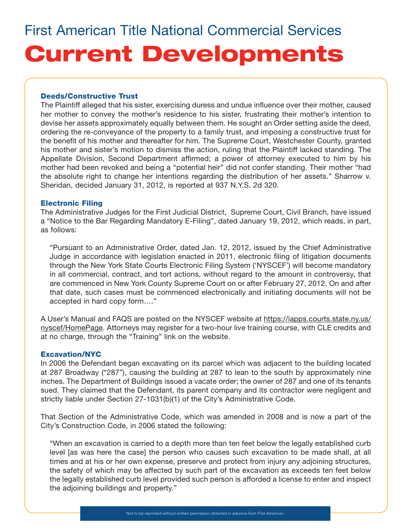#### Deeds/Constructive Trust

The Plaintiff alleged that his sister, exercising duress and undue influence over their mother, caused her mother to convey the mother's residence to his sister, frustrating their mother's intention to devise her assets approximately equally between them. He sought an Order setting aside the deed, ordering the re-conveyance of the property to a family trust, and imposing a constructive trust for the benefit of his mother and thereafter for him. The Supreme Court, Westchester County, granted his mother and sister's motion to dismiss the action, ruling that the Plaintiff lacked standing. The Appellate Division, Second Department affirmed; a power of attorney executed to him by his mother had been revoked and being a "potential heir" did not confer standing. Their mother "had the absolute right to change her intentions regarding the distribution of her assets." Sharrow v. Sheridan, decided January 31, 2012, is reported at 937 N.Y.S. 2d 320.

#### Electronic Filing

The Administrative Judges for the First Judicial District, Supreme Court, Civil Branch, have issued a "Notice to the Bar Regarding Mandatory E-Filing", dated January 19, 2012, which reads, in part, as follows:

"Pursuant to an Administrative Order, dated Jan. 12, 2012, issued by the Chief Administrative Judge in accordance with legislation enacted in 2011, electronic filing of litigation documents through the New York State Courts Electronic Filing System ('NYSCEF') will become mandatory in all commercial, contract, and tort actions, without regard to the amount in controversy, that are commenced in New York County Supreme Court on or after February 27, 2012. On and after that date, such cases must be commenced electronically and initiating documents will not be accepted in hard copy form…."

A User's Manual and FAQS are posted on the NYSCEF website at https://iapps.courts.state.ny.us/ nyscef/HomePage. Attorneys may register for a two-hour live training course, with CLE credits and at no charge, through the "Training" link on the website.

#### Excavation/NYC

In 2006 the Defendant began excavating on its parcel which was adjacent to the building located at 287 Broadway ("287"), causing the building at 287 to lean to the south by approximately nine inches. The Department of Buildings issued a vacate order; the owner of 287 and one of its tenants sued. They claimed that the Defendant, its parent company and its contractor were negligent and strictly liable under Section 27-1031(b)(1) of the City's Administrative Code.

That Section of the Administrative Code, which was amended in 2008 and is now a part of the City's Construction Code, in 2006 stated the following:

"When an excavation is carried to a depth more than ten feet below the legally established curb level [as was here the case] the person who causes such excavation to be made shall, at all times and at his or her own expense, preserve and protect from injury any adjoining structures, the safety of which may be affected by such part of the excavation as exceeds ten feet below the legally established curb level provided such person is afforded a license to enter and inspect the adjoining buildings and property."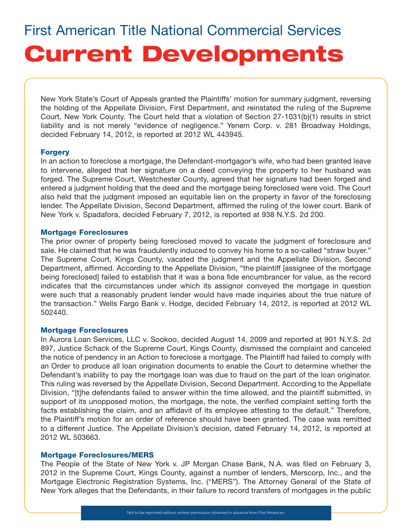New York State's Court of Appeals granted the Plaintiffs' motion for summary judgment, reversing the holding of the Appellate Division, First Department, and reinstated the ruling of the Supreme Court, New York County. The Court held that a violation of Section 27-1031(b)(1) results in strict liability and is not merely "evidence of negligence." Yenem Corp. v. 281 Broadway Holdings, decided February 14, 2012, is reported at 2012 WL 443945.

#### **Forgery**

In an action to foreclose a mortgage, the Defendant-mortgagor's wife, who had been granted leave to intervene, alleged that her signature on a deed conveying the property to her husband was forged. The Supreme Court, Westchester County, agreed that her signature had been forged and entered a judgment holding that the deed and the mortgage being foreclosed were void. The Court also held that the judgment imposed an equitable lien on the property in favor of the foreclosing lender. The Appellate Division, Second Department, affirmed the ruling of the lower court. Bank of New York v. Spadafora, decided February 7, 2012, is reported at 938 N.Y.S. 2d 200.

#### Mortgage Foreclosures

The prior owner of property being foreclosed moved to vacate the judgment of foreclosure and sale. He claimed that he was fraudulently induced to convey his home to a so-called "straw buyer." The Supreme Court, Kings County, vacated the judgment and the Appellate Division, Second Department, affirmed. According to the Appellate Division, "the plaintiff [assignee of the mortgage being foreclosed] failed to establish that it was a bona fide encumbrancer for value, as the record indicates that the circumstances under which its assignor conveyed the mortgage in question were such that a reasonably prudent lender would have made inquiries about the true nature of the transaction." Wells Fargo Bank v. Hodge, decided February 14, 2012, is reported at 2012 WL 502440.

#### Mortgage Foreclosures

In Aurora Loan Services, LLC v. Sookoo, decided August 14, 2009 and reported at 901 N.Y.S. 2d 897, Justice Schack of the Supreme Court, Kings County, dismissed the complaint and canceled the notice of pendency in an Action to foreclose a mortgage. The Plaintiff had failed to comply with an Order to produce all loan origination documents to enable the Court to determine whether the Defendant's inability to pay the mortgage loan was due to fraud on the part of the loan originator. This ruling was reversed by the Appellate Division, Second Department. According to the Appellate Division, "[t]he defendants failed to answer within the time allowed, and the plaintiff submitted, in support of its unopposed motion, the mortgage, the note, the verified complaint setting forth the facts establishing the claim, and an affidavit of its employee attesting to the default." Therefore, the Plaintiff's motion for an order of reference should have been granted. The case was remitted to a different Justice. The Appellate Division's decision, dated February 14, 2012, is reported at 2012 WL 503663.

#### Mortgage Foreclosures/MERS

The People of the State of New York v. JP Morgan Chase Bank, N.A. was filed on February 3, 2012 in the Supreme Court, Kings County, against a number of lenders, Merscorp, Inc., and the Mortgage Electronic Registration Systems, Inc. ("MERS"). The Attorney General of the State of New York alleges that the Defendants, in their failure to record transfers of mortgages in the public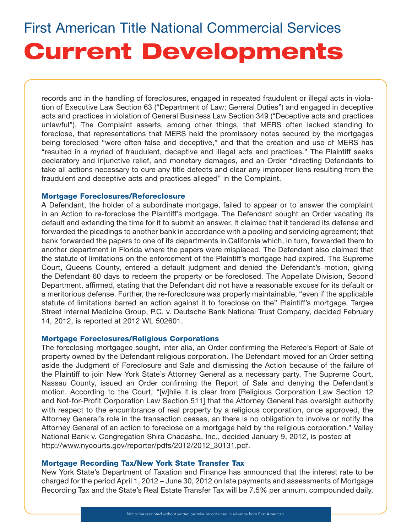records and in the handling of foreclosures, engaged in repeated fraudulent or illegal acts in violation of Executive Law Section 63 ("Department of Law; General Duties") and engaged in deceptive acts and practices in violation of General Business Law Section 349 ("Deceptive acts and practices unlawful"). The Complaint asserts, among other things, that MERS often lacked standing to foreclose, that representations that MERS held the promissory notes secured by the mortgages being foreclosed "were often false and deceptive," and that the creation and use of MERS has "resulted in a myriad of fraudulent, deceptive and illegal acts and practices." The Plaintiff seeks declaratory and injunctive relief, and monetary damages, and an Order "directing Defendants to take all actions necessary to cure any title defects and clear any improper liens resulting from the fraudulent and deceptive acts and practices alleged" in the Complaint.

#### Mortgage Foreclosures/Reforeclosure

A Defendant, the holder of a subordinate mortgage, failed to appear or to answer the complaint in an Action to re-foreclose the Plaintiff's mortgage. The Defendant sought an Order vacating its default and extending the time for it to submit an answer. It claimed that it tendered its defense and forwarded the pleadings to another bank in accordance with a pooling and servicing agreement; that bank forwarded the papers to one of its departments in California which, in turn, forwarded them to another department in Florida where the papers were misplaced. The Defendant also claimed that the statute of limitations on the enforcement of the Plaintiff's mortgage had expired. The Supreme Court, Queens County, entered a default judgment and denied the Defendant's motion, giving the Defendant 60 days to redeem the property or be foreclosed. The Appellate Division, Second Department, affirmed, stating that the Defendant did not have a reasonable excuse for its default or a meritorious defense. Further, the re-foreclosure was properly maintainable, "even if the applicable statute of limitations barred an action against it to foreclose on the" Plaintiff's mortgage. Targee Street Internal Medicine Group, P.C. v. Deutsche Bank National Trust Company, decided February 14, 2012, is reported at 2012 WL 502601.

#### Mortgage Foreclosures/Religious Corporations

The foreclosing mortgagee sought, inter alia, an Order confirming the Referee's Report of Sale of property owned by the Defendant religious corporation. The Defendant moved for an Order setting aside the Judgment of Foreclosure and Sale and dismissing the Action because of the failure of the Plaintiff to join New York State's Attorney General as a necessary party. The Supreme Court, Nassau County, issued an Order confirming the Report of Sale and denying the Defendant's motion. According to the Court, "[w]hile it is clear from [Religious Corporation Law Section 12 and Not-for-Profit Corporation Law Section 511] that the Attorney General has oversight authority with respect to the encumbrance of real property by a religious corporation, once approved, the Attorney General's role in the transaction ceases, an there is no obligation to involve or notify the Attorney General of an action to foreclose on a mortgage held by the religious corporation." Valley National Bank v. Congregation Shira Chadasha, Inc., decided January 9, 2012, is posted at http://www.nycourts.gov/reporter/pdfs/2012/2012\_30131.pdf.

#### Mortgage Recording Tax/New York State Transfer Tax

New York State's Department of Taxation and Finance has announced that the interest rate to be charged for the period April 1, 2012 – June 30, 2012 on late payments and assessments of Mortgage Recording Tax and the State's Real Estate Transfer Tax will be 7.5% per annum, compounded daily.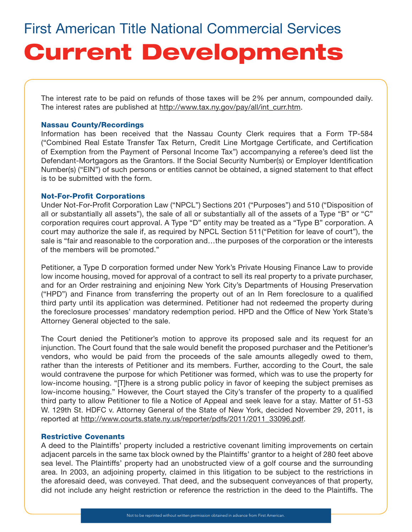The interest rate to be paid on refunds of those taxes will be 2% per annum, compounded daily. The interest rates are published at http://www.tax.ny.gov/pay/all/int\_curr.htm.

#### Nassau County/Recordings

Information has been received that the Nassau County Clerk requires that a Form TP-584 ("Combined Real Estate Transfer Tax Return, Credit Line Mortgage Certificate, and Certification of Exemption from the Payment of Personal Income Tax") accompanying a referee's deed list the Defendant-Mortgagors as the Grantors. If the Social Security Number(s) or Employer Identification Number(s) ("EIN") of such persons or entities cannot be obtained, a signed statement to that effect is to be submitted with the form.

#### Not-For-Profit Corporations

Under Not-For-Profit Corporation Law ("NPCL") Sections 201 ("Purposes") and 510 ("Disposition of all or substantially all assets"), the sale of all or substantially all of the assets of a Type "B" or "C" corporation requires court approval. A Type "D" entity may be treated as a "Type B" corporation. A court may authorize the sale if, as required by NPCL Section 511("Petition for leave of court"), the sale is "fair and reasonable to the corporation and...the purposes of the corporation or the interests of the members will be promoted."

Petitioner, a Type D corporation formed under New York's Private Housing Finance Law to provide low income housing, moved for approval of a contract to sell its real property to a private purchaser, and for an Order restraining and enjoining New York City's Departments of Housing Preservation ("HPD") and Finance from transferring the property out of an In Rem foreclosure to a qualified third party until its application was determined. Petitioner had not redeemed the property during the foreclosure processes' mandatory redemption period. HPD and the Office of New York State's Attorney General objected to the sale.

The Court denied the Petitioner's motion to approve its proposed sale and its request for an injunction. The Court found that the sale would benefit the proposed purchaser and the Petitioner's vendors, who would be paid from the proceeds of the sale amounts allegedly owed to them, rather than the interests of Petitioner and its members. Further, according to the Court, the sale would contravene the purpose for which Petitioner was formed, which was to use the property for low-income housing. "[T]here is a strong public policy in favor of keeping the subject premises as low-income housing." However, the Court stayed the City's transfer of the property to a qualified third party to allow Petitioner to file a Notice of Appeal and seek leave for a stay. Matter of 51-53 W. 129th St. HDFC v. Attorney General of the State of New York, decided November 29, 2011, is reported at http://www.courts.state.ny.us/reporter/pdfs/2011/2011\_33096.pdf.

#### Restrictive Covenants

A deed to the Plaintiffs' property included a restrictive covenant limiting improvements on certain adjacent parcels in the same tax block owned by the Plaintiffs' grantor to a height of 280 feet above sea level. The Plaintiffs' property had an unobstructed view of a golf course and the surrounding area. In 2003, an adjoining property, claimed in this litigation to be subject to the restrictions in the aforesaid deed, was conveyed. That deed, and the subsequent conveyances of that property, did not include any height restriction or reference the restriction in the deed to the Plaintiffs. The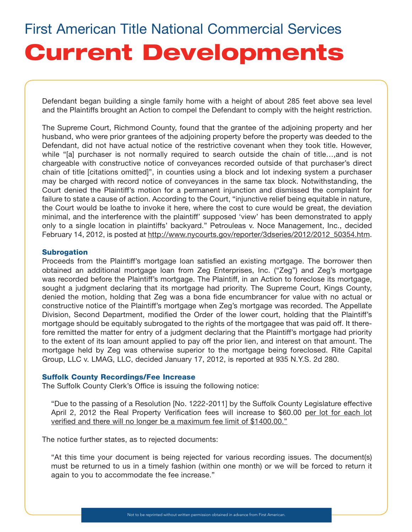Defendant began building a single family home with a height of about 285 feet above sea level and the Plaintiffs brought an Action to compel the Defendant to comply with the height restriction.

The Supreme Court, Richmond County, found that the grantee of the adjoining property and her husband, who were prior grantees of the adjoining property before the property was deeded to the Defendant, did not have actual notice of the restrictive covenant when they took title. However, while "[a] purchaser is not normally required to search outside the chain of title…,and is not chargeable with constructive notice of conveyances recorded outside of that purchaser's direct chain of title [citations omitted]", in counties using a block and lot indexing system a purchaser may be charged with record notice of conveyances in the same tax block. Notwithstanding, the Court denied the Plaintiff's motion for a permanent injunction and dismissed the complaint for failure to state a cause of action. According to the Court, "injunctive relief being equitable in nature, the Court would be loathe to invoke it here, where the cost to cure would be great, the deviation minimal, and the interference with the plaintiff' supposed 'view' has been demonstrated to apply only to a single location in plaintiffs' backyard." Petrouleas v. Noce Management, Inc., decided February 14, 2012, is posted at http://www.nycourts.gov/reporter/3dseries/2012/2012\_50354.htm.

#### **Subrogation**

Proceeds from the Plaintiff's mortgage loan satisfied an existing mortgage. The borrower then obtained an additional mortgage loan from Zeg Enterprises, Inc. ("Zeg") and Zeg's mortgage was recorded before the Plaintiff's mortgage. The Plaintiff, in an Action to foreclose its mortgage, sought a judgment declaring that its mortgage had priority. The Supreme Court, Kings County, denied the motion, holding that Zeg was a bona fide encumbrancer for value with no actual or constructive notice of the Plaintiff's mortgage when Zeg's mortgage was recorded. The Appellate Division, Second Department, modified the Order of the lower court, holding that the Plaintiff's mortgage should be equitably subrogated to the rights of the mortgagee that was paid off. It therefore remitted the matter for entry of a judgment declaring that the Plaintiff's mortgage had priority to the extent of its loan amount applied to pay off the prior lien, and interest on that amount. The mortgage held by Zeg was otherwise superior to the mortgage being foreclosed. Rite Capital Group, LLC v. LMAG, LLC, decided January 17, 2012, is reported at 935 N.Y.S. 2d 280.

#### Suffolk County Recordings/Fee Increase

The Suffolk County Clerk's Office is issuing the following notice:

"Due to the passing of a Resolution [No. 1222-2011] by the Suffolk County Legislature effective April 2, 2012 the Real Property Verification fees will increase to \$60.00 per lot for each lot verified and there will no longer be a maximum fee limit of \$1400.00."

The notice further states, as to rejected documents:

"At this time your document is being rejected for various recording issues. The document(s) must be returned to us in a timely fashion (within one month) or we will be forced to return it again to you to accommodate the fee increase."